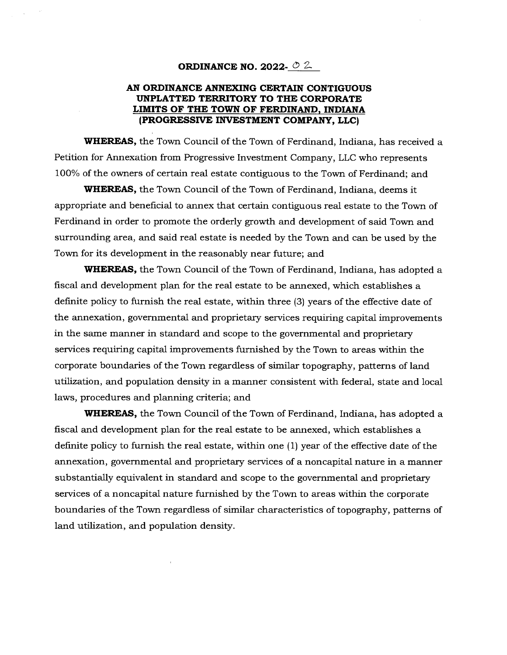### **ORDINANCE NO. 2022-**  $\circ$  **2-**

## **AN ORDINANCE ANNEXING CERTAIN CONTIGUOUS UNPLA'rTED TERRITORY TO THE CORPORATE LIMITS OF THE TOWN OF FERDINAND, INDIANA (PROGRESSIVE INVESTMENT COMPANY, LLC)**

**WHEREAS,** the Town Council of the Town of Ferdinand, Indiana, has received a Petition for Annexation from Progressive Investment Company, LLC who represents 100% of the owners of certain real estate contiguous to the Town of Ferdinand; and

**WHEREAS,** the Town Council of the Town of Ferdinand, Indiana, deems it appropriate and beneficial to annex that certain contiguous real estate to the Town of Ferdinand in order to promote the orderly growth and development of said Town and surrounding area, and said real estate is needed by the Town and can be used by the Town for its development in the reasonably near future; and

**WHEREAS,** the Town Council of the Town of Ferdinand, Indiana, has adopted a fiscal and development plan for the real estate to be annexed, which establishes a definite policy to furnish the real estate, within three (3) years of the effective date of the annexation, governmental and proprietary services requiring capital improvements in the same manner in standard and scope to the governmental and proprietary services requiring capital improvements furnished by the Town to areas within the corporate boundaries of the Town regardless of similar topography, patterns of land utilization, and population density in a manner consistent with federal, state and local laws, procedures and planning criteria; and

**WHEREAS,** the Town Council of the Town of Ferdinand, Indiana, has adopted a fiscal and development plan for the real estate to be annexed, which establishes a definite policy to furnish the real estate, within one (1) year of the effective date of the annexation, governmental and proprietary services of a noncapital nature in a manner substantially equivalent in standard and scope to the governmental and proprietary services of a noncapital nature furnished by the Town to areas within the corporate boundaries of the Town regardless of similar characteristics of topography, patterns of land utilization, and population density.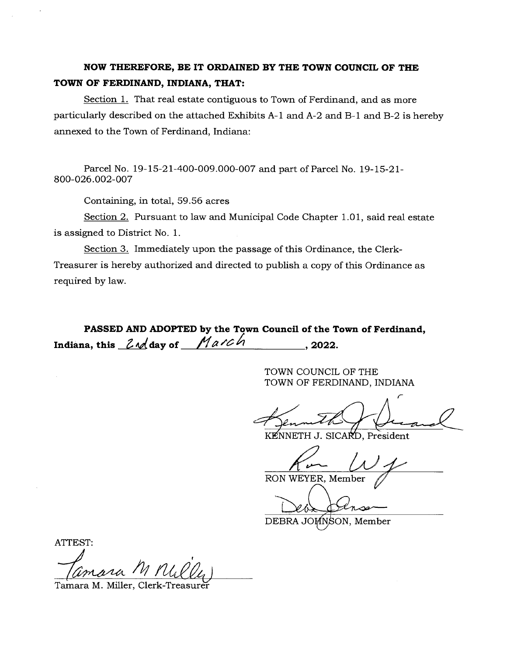# **NOW THEREFORE, BE IT ORDAINED BY THE TOWN COUNCIL OF THE TOWN OF FERDINAND, INDIANA, THAT:**

Section 1. That real estate contiguous to Town of Ferdinand, and as more particularly described on the attached Exhibits A-1 and A-2 and B-1 and B-2 is hereby annexed to the Town of Ferdinand, Indiana:

Parcel No. 19-15-21-400-009.000-007 and part of Parcel No. 19-15-21- 800-026.002-007

Containing, in total, 59.56 acres

Section 2. Pursuant to law and Municipal Code Chapter 1.01, said real estate is assigned to District No. 1.

Section 3. Immediately upon the passage of this Ordinance, the Clerk-Treasurer is hereby authorized and directed to publish a copy of this Ordinance as required by law.

**PASSED AND ADOPTED by the Town Council of the Town of Ferdinand,**  Indiana, this  $2\sqrt{a}$  day of  $M$ arch 10.2022.

> TOWN COUNCIL OF THE TOWN OF FERDINAND, INDIANA

KENNETH J. SICARD. President

RON WEYER, Member

DEBRA JOHNSON, Member

ATTEST:

(2)<br>Comara M MULLy<br>ara M. Miller, Clerk-Treasurer

Tamara M. Miller, Clerk-Treasurè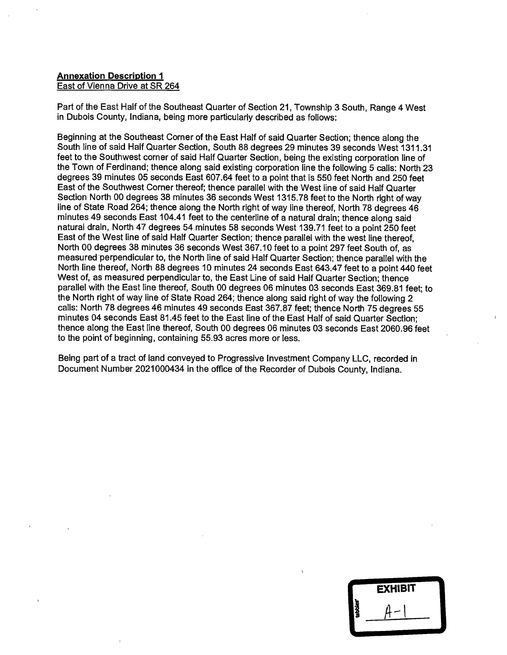## **Annexation Description 1**  East of Vienna Drive at SR 264

Part of the East Half of the Southeast Quarter of Section 21, Township 3 South, Range 4 West in Dubois County, Indiana, being more particularly described as follows:

Beginning at the Southeast Corner of the East Half of said Quarter Section; thence along the South line of said Half Quarter Section, South 88 degrees 29 minutes 39 seconds West 1311.31 feet to the Southwest corner of said Half Quarter Section, being the existing corporation line of the Town of Ferdinand; thence along said existing corporation line the following 5 calls: North 23 degrees 39 minutes 05 seconds East 607.64 feet to a point that is 550 feet North and 250 feet East of the Southwest Corner thereof; thence parallel with the West line of said Half Quarter Section North 00 degrees 38 minutes 36 seconds West 1315.78 feet to the North right of way line of State Road 264; thence along the North right of way line thereof, North 78 degrees 46 minutes 49 seconds East 104.41 feet to the centerline of a natural drain; thence along said natural drain, North 47 degrees 54 minutes 58 seconds West 139.71 feet to a point 250 feet East of the West line of said Half Quarter Section; thence parallel with the west line thereof, North 00 degrees 38 minutes 36 seconds West 367.10 feet to a point 297 feet South of, as measured 'perpendicular to, the North line of said Half Quarter Section; thence parallel with the North line thereof, North 88 degrees 10 minutes 24 seconds East 643.47 feet to a point 440 feet West of, as measured perpendicular to, the East Line of said Half Quarter Section; thence parallel with the East line thereof, South 00 degrees 06 minutes 03 seconds East 369.81 feet; to the North right of way line of State Road 264; thence along said right of way the following 2 calls: North 78 degrees 46 minutes 49 seconds East 367.87 feet; thence North 75 degrees 55 minutes 04 seconds East 81.45 feet to the East line of the East Half of said Quarter Section; thence along the East line thereof, South 00 degrees 06 minutes 03 seconds East 2060.96 feet to the point of beginning, containing 55.93 acres more or less.

Being part of a tract of land conveyed to Progressive Investment Company LLC, recorded in Document Number 2021000434 in the office of the Recorder of Dubois County, Indiana.

|         | <b>EXHIBIT</b> |  |
|---------|----------------|--|
| tabbles |                |  |
|         |                |  |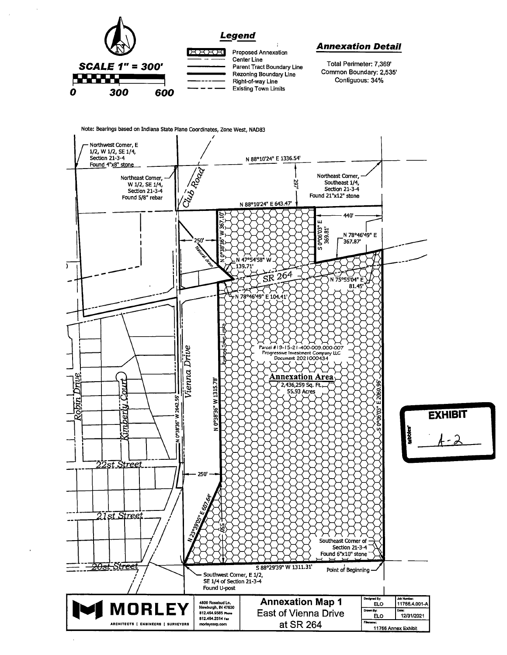

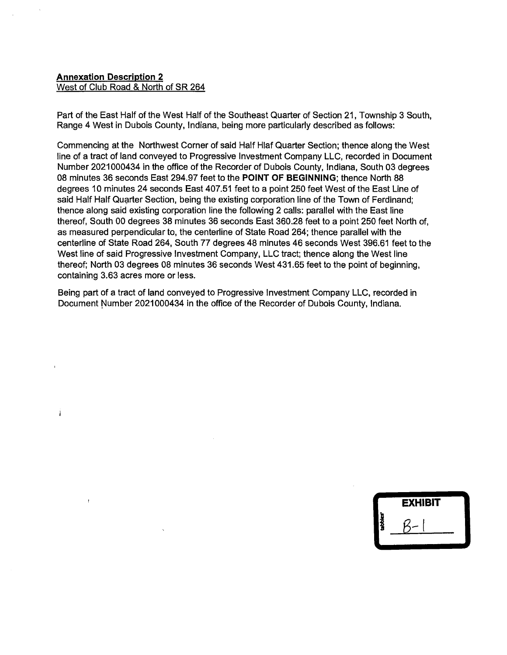#### **Annexation Description 2**  West of Club Road & North of SR 264

Î

Part of the East Half of the West Half of the Southeast Quarter of Section 21, Township 3 South, Range 4 West in Dubois County, Indiana, being more particularly described as follows:

Commencing at the Northwest Corner of said Half Hlaf Quarter Section; thence along the West line of a tract of land conveyed to Progressive Investment Company LLC, recorded in Document Number 2021000434 in the office of the Recorder of Dubois County, Indiana, South 03 degrees 08 minutes 36 seconds East 294.97 feet to the **POINT OF BEGINNING;** thence North 88 degrees 10 minutes 24 seconds East 407.51 feet to a point 250 feet West of the East Line of said Half Half Quarter Section, being the existing corporation line of the Town of Ferdinand; thence along said existing corporation line the following 2 calls: parallel with the East line thereof, South 00 degrees 38 minutes 36 seconds East 360.28 feet to a point 250 feet North of, as measured perpendicular to, the centerline of State Road 264; thence parallel with the centerline of State Road 264, South 77 degrees 48 minutes 46 seconds West 396.61 feet to the West line of said Progressive Investment Company, LLC tract; thence along the West line thereof; North 03 degrees 08 minutes 36 seconds West 431.65 feet to the point of beginning, containing 3.63 acres more or less.

Being part of a tract of land conveyed to Progressive Investment Company LLC, recorded in Document Number 2021000434 in the office of the Recorder of Dubois County, Indiana.

|         | <b>EXHIBIT</b> |  |
|---------|----------------|--|
| tabbles |                |  |
|         |                |  |